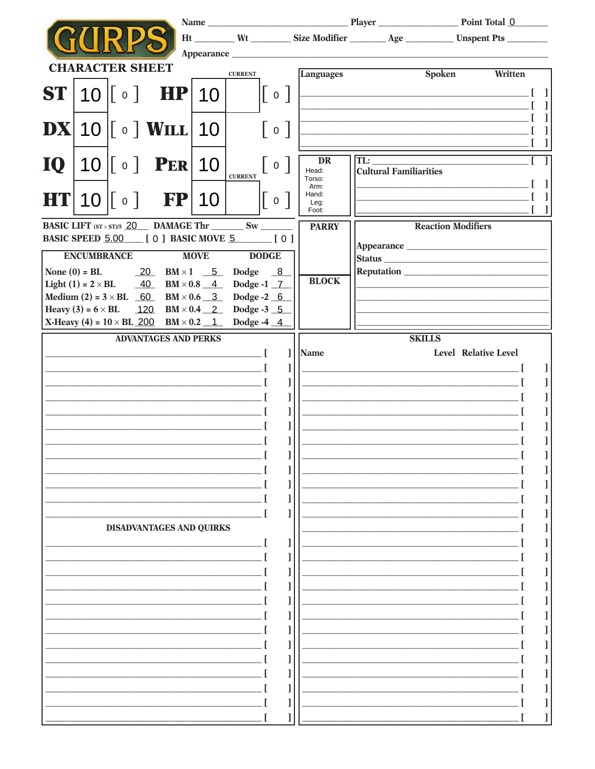|           |                    |                                                                          |           |             |                                                                   |   |                         |                               |                                                                                                                        | Ht _________ Wt __________ Size Modifier _________ Age ____________ Unspent Pts _________ |  |  |
|-----------|--------------------|--------------------------------------------------------------------------|-----------|-------------|-------------------------------------------------------------------|---|-------------------------|-------------------------------|------------------------------------------------------------------------------------------------------------------------|-------------------------------------------------------------------------------------------|--|--|
|           |                    | <b>CHARACTER SHEET</b>                                                   |           |             | <b>CURRENT</b>                                                    |   | <b>Languages</b>        |                               | <b>Spoken</b>                                                                                                          | Written                                                                                   |  |  |
|           |                    | $ST$  10   $\circ$   HP 10                                               |           |             | $\left[\begin{array}{c} \circ \end{array}\right]$                 |   |                         |                               | <u> 1989 - Johann John Stein, mars an deutscher Stein († 1989)</u>                                                     |                                                                                           |  |  |
|           |                    |                                                                          |           |             |                                                                   |   |                         |                               | <u> 1989 - Johann Stoff, deutscher Stoffen und der Stoffen und der Stoffen und der Stoffen und der Stoffen und der</u> |                                                                                           |  |  |
| <b>DX</b> |                    | $10$ $\lceil \circ \rceil$ WILL $\lceil 10 \rceil$                       |           |             |                                                                   |   |                         |                               |                                                                                                                        |                                                                                           |  |  |
|           |                    |                                                                          |           |             |                                                                   |   |                         |                               | <u> 1989 - Jan James James James James James James James James James James James James James James James James J</u>   |                                                                                           |  |  |
| <b>IQ</b> |                    | $10$ $\lceil \circ \rceil$ PER 10                                        |           |             | $\begin{array}{c} 0 \end{array}$                                  |   | DR                      | TL:                           |                                                                                                                        |                                                                                           |  |  |
|           |                    |                                                                          |           |             | <b>CURRENT</b>                                                    |   | Head:<br>Torso:<br>Arm: | <b>Cultural Familiarities</b> |                                                                                                                        |                                                                                           |  |  |
| HTI       |                    | $10$ $\sqrt{ }$ o $\sqrt{ }$                                             | <b>FP</b> | 10          | $\begin{bmatrix} 0 \end{bmatrix}$                                 |   | Hand:<br>Leg:<br>Foot:  |                               |                                                                                                                        |                                                                                           |  |  |
|           |                    |                                                                          |           |             | BASIC LIFT $(sT \times ST)/5$ 20 DAMAGE Thr _________ Sw ________ |   | <b>PARRY</b>            |                               | <b>Reaction Modifiers</b>                                                                                              |                                                                                           |  |  |
|           |                    |                                                                          |           |             | <b>BASIC SPEED 5.00 [ 0 ] BASIC MOVE 5 [ 0 ]</b>                  |   |                         |                               |                                                                                                                        |                                                                                           |  |  |
|           | <b>ENCUMBRANCE</b> |                                                                          |           | <b>MOVE</b> | <b>DODGE</b>                                                      |   |                         |                               |                                                                                                                        |                                                                                           |  |  |
|           | None $(0)$ = BL    | $20$ BM $\times$ 1 5<br>Light (1) = $2 \times BL$ $40$ $BM \times 0.8$ 4 |           |             | Dodge 8<br>Dodge -1 7                                             |   | <b>BLOCK</b>            |                               | <b>Reputation</b>                                                                                                      |                                                                                           |  |  |
|           |                    |                                                                          |           |             | Medium (2) = $3 \times BL$ 60 BM $\times$ 0.6 3 Dodge -2 6        |   |                         |                               |                                                                                                                        |                                                                                           |  |  |
|           |                    |                                                                          |           |             | Heavy (3) = $6 \times BL$ $120$ $BM \times 0.4$ $2$ Dodge -3 5    |   |                         |                               |                                                                                                                        |                                                                                           |  |  |
|           |                    |                                                                          |           |             | X-Heavy (4) = $10 \times BL$ 200 BM $\times$ 0.2 1 Dodge -4 4     |   |                         |                               |                                                                                                                        |                                                                                           |  |  |
|           |                    | <b>ADVANTAGES AND PERKS</b>                                              |           |             |                                                                   | 1 | <b>Name</b>             |                               | <b>SKILLS</b>                                                                                                          | Level Relative Level                                                                      |  |  |
|           |                    |                                                                          |           |             | <u> 1989 - Johann John Stone, markin f</u>                        | 1 |                         |                               |                                                                                                                        |                                                                                           |  |  |
|           |                    |                                                                          |           |             |                                                                   | 1 |                         |                               | <u> 1989 - Johann Barbara, martxa eta politikar</u>                                                                    |                                                                                           |  |  |
|           |                    |                                                                          |           |             |                                                                   | 1 |                         |                               |                                                                                                                        |                                                                                           |  |  |
|           |                    |                                                                          |           |             |                                                                   | 1 |                         |                               |                                                                                                                        |                                                                                           |  |  |
|           |                    |                                                                          |           |             |                                                                   | 1 |                         |                               |                                                                                                                        |                                                                                           |  |  |
|           |                    |                                                                          |           |             |                                                                   | 1 |                         |                               |                                                                                                                        |                                                                                           |  |  |
|           |                    |                                                                          |           |             |                                                                   |   |                         |                               |                                                                                                                        |                                                                                           |  |  |
|           |                    |                                                                          |           |             |                                                                   |   |                         |                               |                                                                                                                        |                                                                                           |  |  |
|           |                    |                                                                          |           |             |                                                                   |   |                         |                               |                                                                                                                        |                                                                                           |  |  |
|           |                    |                                                                          |           |             |                                                                   |   |                         |                               |                                                                                                                        |                                                                                           |  |  |
|           |                    | DISADVANTAGES AND QUIRKS                                                 |           |             |                                                                   |   |                         |                               |                                                                                                                        |                                                                                           |  |  |
|           |                    |                                                                          |           |             |                                                                   |   |                         |                               |                                                                                                                        |                                                                                           |  |  |
|           |                    |                                                                          |           |             |                                                                   |   |                         |                               |                                                                                                                        |                                                                                           |  |  |
|           |                    |                                                                          |           |             |                                                                   |   |                         |                               |                                                                                                                        |                                                                                           |  |  |
|           |                    |                                                                          |           |             |                                                                   |   |                         |                               |                                                                                                                        |                                                                                           |  |  |
|           |                    |                                                                          |           |             |                                                                   |   |                         |                               |                                                                                                                        |                                                                                           |  |  |
|           |                    |                                                                          |           |             |                                                                   |   |                         |                               |                                                                                                                        |                                                                                           |  |  |
|           |                    |                                                                          |           |             |                                                                   |   |                         |                               |                                                                                                                        |                                                                                           |  |  |
|           |                    |                                                                          |           |             |                                                                   |   |                         |                               |                                                                                                                        |                                                                                           |  |  |
|           |                    |                                                                          |           |             |                                                                   |   |                         |                               |                                                                                                                        |                                                                                           |  |  |
|           |                    |                                                                          |           |             |                                                                   |   |                         |                               |                                                                                                                        |                                                                                           |  |  |
|           |                    |                                                                          |           |             |                                                                   |   |                         |                               |                                                                                                                        |                                                                                           |  |  |
|           |                    |                                                                          |           |             |                                                                   |   |                         |                               |                                                                                                                        |                                                                                           |  |  |